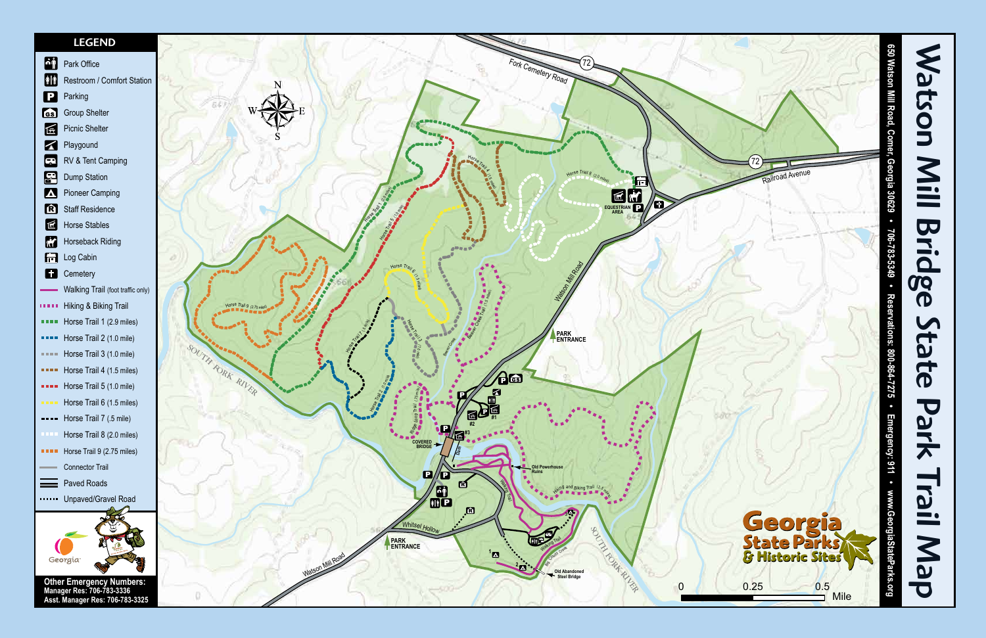